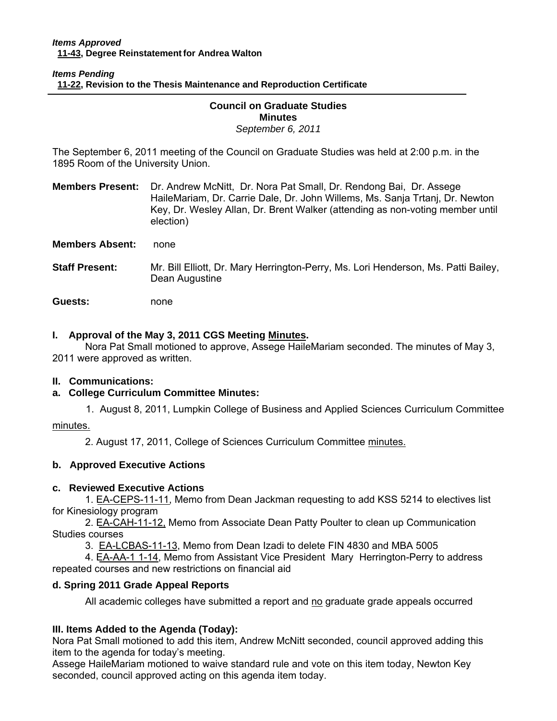### *Items Pending*  **[11-22, Re](http://castle.eiu.edu/~eiucgs/currentagendaitems/agenda11-22.pdf)vision to the Thesis Maintenance and Reproduction Certificate**

#### Ī **Council on Graduate Studies Minutes**  *September 6, 2011*

The September 6, 2011 meeting of the Council on Graduate Studies was held at 2:00 p.m. in the 1895 Room of the University Union.

**Members Present:** Dr. Andrew McNitt, Dr. Nora Pat Small, Dr. Rendong Bai, Dr. Assege HaileMariam, Dr. Carrie Dale, Dr. John Willems, Ms. Sanja Trtanj, Dr. Newton Key, Dr. Wesley Allan, Dr. Brent Walker (attending as non-voting member until election)

**Members Absent:** none

**Staff Present:** Mr. Bill Elliott, Dr. Mary Herrington-Perry, Ms. Lori Henderson, Ms. Patti Bailey, Dean Augustine

**Guests:** none

## **I. Approval of the May 3, 2011 CGS Meetin[g Minutes.](http://castle.eiu.edu/eiucgs/currentminutes/Minutes5-3-11.pdf)**

 Nora Pat Small motioned to approve, Assege HaileMariam seconded. The minutes of May 3, 2011 were approved as written.

### **II. Communications:**

# **a. College Curriculum Committee Minutes:**

1. August 8, 2011, Lumpkin College of Business and Applied Sciences Curriculum Committee

[minutes.](http://castle.eiu.edu/~eiucgs/currentagendaitems/LCBASMin8-8-11.pdf) 

2. August 17, 2011, College of Sciences Curriculum Committe[e minutes.](http://castle.eiu.edu/~eiucgs/currentagendaitems/COSMin8-17-11.pdf) 

# **b. Approved Executive Actions**

### **c. Reviewed Executive Actions**

[1. EA-CEPS-11-11, M](http://castle.eiu.edu/~eiucgs/exec-actions/EA-CEPS-11-11.pdf)emo from Dean Jackman requesting to add KSS 5214 to electives list for Kinesiology program

 2[. EA-CAH-11-12, M](http://castle.eiu.edu/~eiucgs/exec-actions/EA-CAH-11-12.pdf)emo from Associate Dean Patty Poulter to clean up Communication Studies courses

3[. EA-LCBAS-11-13, M](http://castle.eiu.edu/~eiucgs/exec-actions/EA-LCBAS-11-13.pdf)emo from Dean Izadi to delete FIN 4830 and MBA 5005

 4. [EA-AA-1 1-14, Me](http://castle.eiu.edu/~eiucgs/exec-actions/EA-AA-11-14.pdf)mo from Assistant Vice President Mary Herrington-Perry to address repeated courses and new restrictions on financial aid

### **d. Spring 2011 Grade Appeal Reports**

All academic colleges have submitted a report and no graduate grade appeals occurred

# **III. Items Added to the Agenda (Today):**

Nora Pat Small motioned to add this item, Andrew McNitt seconded, council approved adding this item to the agenda for today's meeting.

Assege HaileMariam motioned to waive standard rule and vote on this item today, Newton Key seconded, council approved acting on this agenda item today.